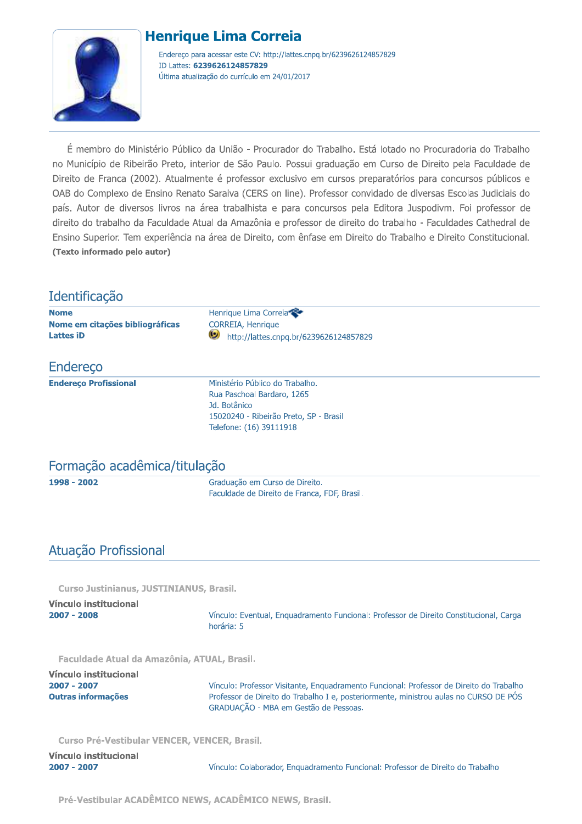## **Henrique Lima Correia**



Endereço para acessar este CV: http://lattes.cnpq.br/6239626124857829 ID Lattes: 6239626124857829 Última atualização do currículo em 24/01/2017

É membro do Ministério Público da União - Procurador do Trabalho. Está lotado no Procuradoria do Trabalho no Município de Ribeirão Preto, interior de São Paulo. Possui graduação em Curso de Direito pela Faculdade de Direito de Franca (2002). Atualmente é professor exclusivo em cursos preparatórios para concursos públicos e OAB do Complexo de Ensino Renato Saraiva (CERS on line). Professor convidado de diversas Escolas Judiciais do país. Autor de diversos livros na área trabalhista e para concursos pela Editora Juspodivm. Foi professor de direito do trabalho da Faculdade Atual da Amazônia e professor de direito do trabalho - Faculdades Cathedral de Ensino Superior. Tem experiência na área de Direito, com ênfase em Direito do Trabalho e Direito Constitucional. (Texto informado pelo autor)

## Identificação

**Nome** Nome em citações bibliográficas **Lattes iD** 

Henrique Lima Correia CORREIA, Henrique http://lattes.cnpq.br/6239626124857829

## Endereco

**Endereço Profissional** 

Ministério Público do Trabalho. Rua Paschoal Bardaro, 1265 Jd. Botânico 15020240 - Ribeirão Preto, SP - Brasil Telefone: (16) 39111918

## Formação acadêmica/titulação

1998 - 2002

Graduação em Curso de Direito. Faculdade de Direito de Franca, FDF, Brasil.

# Atuação Profissional

**Curso Justinianus, JUSTINIANUS, Brasil.** 

| Vínculo institucional |                                                                                        |
|-----------------------|----------------------------------------------------------------------------------------|
| 2007 - 2008           | Vínculo: Eventual, Enguadramento Funcional: Professor de Direito Constitucional, Carga |
|                       | .                                                                                      |

horária: 5

Faculdade Atual da Amazônia, ATUAL, Brasil.

| Vínculo institucional |                                                                                                                                |
|-----------------------|--------------------------------------------------------------------------------------------------------------------------------|
| 2007 - 2007           | Vínculo: Professor Visitante, Enguadramento Funcional: Professor de Direito do Trabalho                                        |
| Outras informacões    | Professor de Direito do Trabalho I e, posteriormente, ministrou aulas no CURSO DE POS<br>GRADUAÇÃO - MBA em Gestão de Pessoas. |

Curso Pré-Vestibular VENCER, VENCER, Brasil.

| Vínculo institucional |                                                                                 |
|-----------------------|---------------------------------------------------------------------------------|
| 2007 - 2007           | Vínculo: Colaborador, Enguadramento Funcional: Professor de Direito do Trabalho |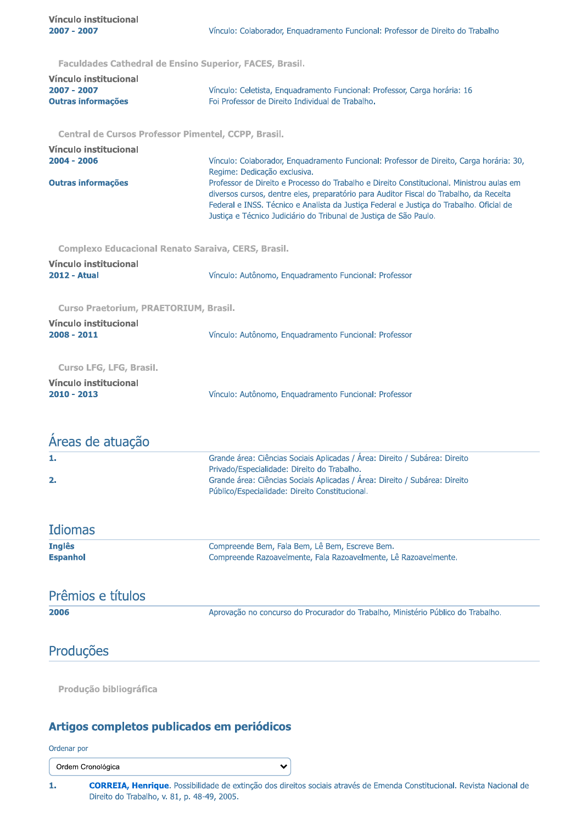Eaculdades Cathedral de Ensino Superior, EACES, Brasil

| <b>I acuidades catileural de Libilio Superior, i Aclis, prasil.</b> |                                                                                                                                                                                                                                                                                                                                                    |
|---------------------------------------------------------------------|----------------------------------------------------------------------------------------------------------------------------------------------------------------------------------------------------------------------------------------------------------------------------------------------------------------------------------------------------|
| Vínculo institucional<br>2007 - 2007<br><b>Outras informações</b>   | Vínculo: Celetista, Enquadramento Funcional: Professor, Carga horária: 16<br>Foi Professor de Direito Individual de Trabalho.                                                                                                                                                                                                                      |
| Central de Cursos Professor Pimentel, CCPP, Brasil.                 |                                                                                                                                                                                                                                                                                                                                                    |
| Vínculo institucional<br>$2004 - 2006$                              | Vínculo: Colaborador, Enquadramento Funcional: Professor de Direito, Carga horária: 30,<br>Regime: Dedicação exclusiva.                                                                                                                                                                                                                            |
| <b>Outras informações</b>                                           | Professor de Direito e Processo do Trabalho e Direito Constitucional, Ministrou aulas em<br>diversos cursos, dentre eles, preparatório para Auditor Fiscal do Trabalho, da Receita<br>Federal e INSS. Técnico e Analista da Justiça Federal e Justiça do Trabalho. Oficial de<br>Justiça e Técnico Judiciário do Tribunal de Justiça de São Paulo. |
| Complexo Educacional Renato Saraiva, CERS, Brasil.                  |                                                                                                                                                                                                                                                                                                                                                    |
| Vínculo institucional                                               |                                                                                                                                                                                                                                                                                                                                                    |
| <b>2012 - Atual</b>                                                 | Vínculo: Autônomo, Enquadramento Funcional: Professor                                                                                                                                                                                                                                                                                              |
| Curso Praetorium, PRAETORIUM, Brasil.                               |                                                                                                                                                                                                                                                                                                                                                    |
| Vínculo institucional                                               |                                                                                                                                                                                                                                                                                                                                                    |
| $2008 - 2011$                                                       | Vínculo: Autônomo, Enquadramento Funcional: Professor                                                                                                                                                                                                                                                                                              |
| <b>Curso LFG, LFG, Brasil.</b>                                      |                                                                                                                                                                                                                                                                                                                                                    |
| Vínculo institucional<br>$2010 - 2013$                              | Vínculo: Autônomo, Enquadramento Funcional: Professor                                                                                                                                                                                                                                                                                              |
| Areas de atuação                                                    |                                                                                                                                                                                                                                                                                                                                                    |
| 1.                                                                  | Grande área: Ciências Sociais Aplicadas / Área: Direito / Subárea: Direito                                                                                                                                                                                                                                                                         |
| 2.                                                                  | Privado/Especialidade: Direito do Trabalho.<br>Grande área: Ciências Sociais Aplicadas / Área: Direito / Subárea: Direito<br>Público/Especialidade: Direito Constitucional.                                                                                                                                                                        |
| <b>Idiomas</b>                                                      |                                                                                                                                                                                                                                                                                                                                                    |
| <b>Inglês</b>                                                       | Compreende Bem, Fala Bem, Lê Bem, Escreve Bem.                                                                                                                                                                                                                                                                                                     |
| <b>Espanhol</b>                                                     | Compreende Razoavelmente, Fala Razoavelmente, Lê Razoavelmente.                                                                                                                                                                                                                                                                                    |
| Prêmios e títulos                                                   |                                                                                                                                                                                                                                                                                                                                                    |
| 2006                                                                | Aprovação no concurso do Procurador do Trabalho, Ministério Público do Trabalho.                                                                                                                                                                                                                                                                   |
| Produções                                                           |                                                                                                                                                                                                                                                                                                                                                    |
|                                                                     |                                                                                                                                                                                                                                                                                                                                                    |

Produção bibliográfica

### Artigos completos publicados em periódicos

Ordenar por

Ordem Cronológica

 $\mathbf{1}$ CORREIA, Henrique. Possibilidade de extinção dos direitos sociais através de Emenda Constitucional. Revista Nacional de Direito do Trabalho, v. 81, p. 48-49, 2005.

 $\checkmark$